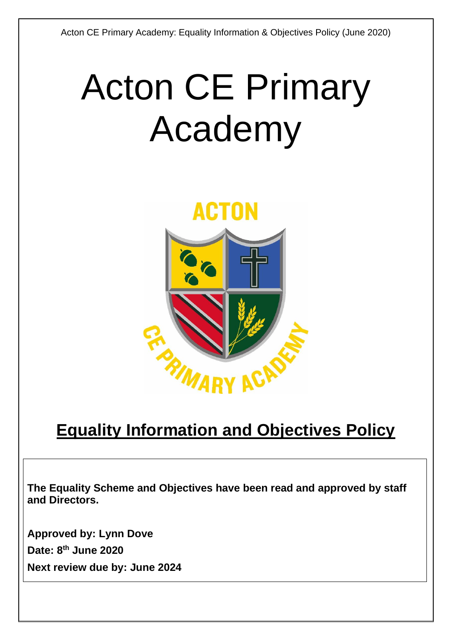# Acton CE Primary Academy



# **Equality Information and Objectives Policy**

**The Equality Scheme and Objectives have been read and approved by staff and Directors.**

**Approved by: Lynn Dove Date: 8 th June 2020 Next review due by: June 2024**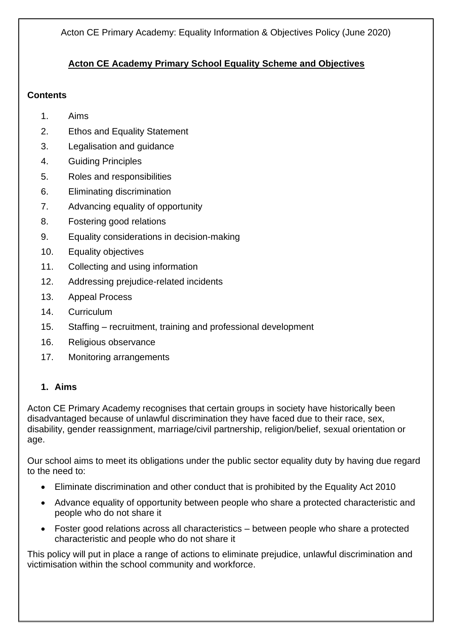# **Acton CE Academy Primary School Equality Scheme and Objectives**

# **Contents**

- 1. Aims
- 2. Ethos and Equality Statement
- 3. Legalisation and guidance
- 4. Guiding Principles
- 5. Roles and responsibilities
- 6. Eliminating discrimination
- 7. Advancing equality of opportunity
- 8. Fostering good relations
- 9. Equality considerations in decision-making
- 10. Equality objectives
- 11. Collecting and using information
- 12. Addressing prejudice-related incidents
- 13. Appeal Process
- 14. Curriculum
- 15. Staffing recruitment, training and professional development
- 16. Religious observance
- 17. Monitoring arrangements

# **1. Aims**

Acton CE Primary Academy recognises that certain groups in society have historically been disadvantaged because of unlawful discrimination they have faced due to their race, sex, disability, gender reassignment, marriage/civil partnership, religion/belief, sexual orientation or age.

Our school aims to meet its obligations under the public sector equality duty by having due regard to the need to:

- Eliminate discrimination and other conduct that is prohibited by the Equality Act 2010
- Advance equality of opportunity between people who share a protected characteristic and people who do not share it
- Foster good relations across all characteristics between people who share a protected characteristic and people who do not share it

This policy will put in place a range of actions to eliminate prejudice, unlawful discrimination and victimisation within the school community and workforce.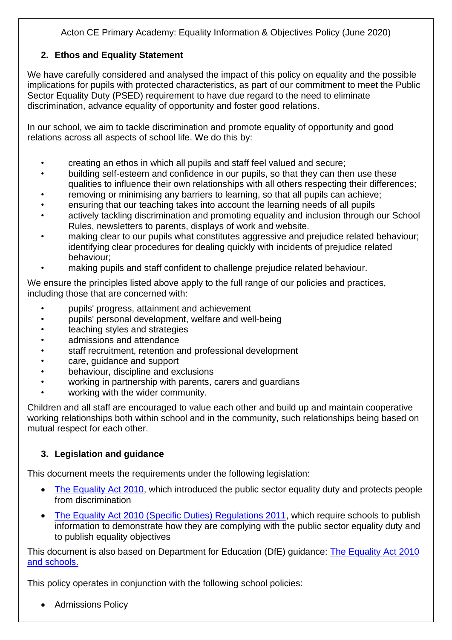# **2. Ethos and Equality Statement**

We have carefully considered and analysed the impact of this policy on equality and the possible implications for pupils with protected characteristics, as part of our commitment to meet the Public Sector Equality Duty (PSED) requirement to have due regard to the need to eliminate discrimination, advance equality of opportunity and foster good relations.

In our school, we aim to tackle discrimination and promote equality of opportunity and good relations across all aspects of school life. We do this by:

- creating an ethos in which all pupils and staff feel valued and secure;
- building self-esteem and confidence in our pupils, so that they can then use these qualities to influence their own relationships with all others respecting their differences;
- removing or minimising any barriers to learning, so that all pupils can achieve;
- ensuring that our teaching takes into account the learning needs of all pupils
- actively tackling discrimination and promoting equality and inclusion through our School Rules, newsletters to parents, displays of work and website.
- making clear to our pupils what constitutes aggressive and prejudice related behaviour; identifying clear procedures for dealing quickly with incidents of prejudice related behaviour;
- making pupils and staff confident to challenge prejudice related behaviour.

We ensure the principles listed above apply to the full range of our policies and practices, including those that are concerned with:

- pupils' progress, attainment and achievement
- pupils' personal development, welfare and well-being
- teaching styles and strategies
- admissions and attendance
- staff recruitment, retention and professional development
- care, guidance and support
- behaviour, discipline and exclusions
- working in partnership with parents, carers and guardians
- working with the wider community.

Children and all staff are encouraged to value each other and build up and maintain cooperative working relationships both within school and in the community, such relationships being based on mutual respect for each other.

# **3. Legislation and guidance**

This document meets the requirements under the following legislation:

- [The Equality Act 2010,](http://www.legislation.gov.uk/ukpga/2010/15/contents) which introduced the public sector equality duty and protects people from discrimination
- [The Equality Act 2010 \(Specific Duties\) Regulations 2011,](http://www.legislation.gov.uk/uksi/2011/2260/contents/made) which require schools to publish information to demonstrate how they are complying with the public sector equality duty and to publish equality objectives

This document is also based on Department for Education (DfE) guidance: The Equality Act 2010 [and schools.](https://www.gov.uk/government/uploads/system/uploads/attachment_data/file/315587/Equality_Act_Advice_Final.pdf) 

This policy operates in conjunction with the following school policies:

• Admissions Policy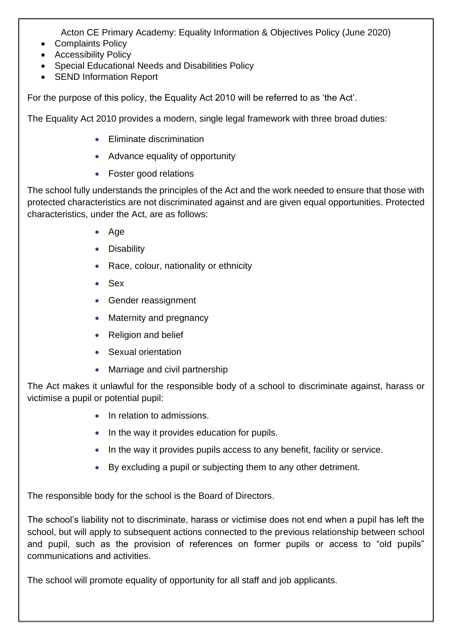- Complaints Policy
- Accessibility Policy
- Special Educational Needs and Disabilities Policy
- SEND Information Report

For the purpose of this policy, the Equality Act 2010 will be referred to as 'the Act'.

The Equality Act 2010 provides a modern, single legal framework with three broad duties:

- Eliminate discrimination
- Advance equality of opportunity
- Foster good relations

The school fully understands the principles of the Act and the work needed to ensure that those with protected characteristics are not discriminated against and are given equal opportunities. Protected characteristics, under the Act, are as follows:

- Age
- Disability
- Race, colour, nationality or ethnicity
- Sex
- Gender reassignment
- Maternity and pregnancy
- Religion and belief
- Sexual orientation
- Marriage and civil partnership

The Act makes it unlawful for the responsible body of a school to discriminate against, harass or victimise a pupil or potential pupil:

- In relation to admissions.
- In the way it provides education for pupils.
- In the way it provides pupils access to any benefit, facility or service.
- By excluding a pupil or subjecting them to any other detriment.

The responsible body for the school is the Board of Directors.

The school's liability not to discriminate, harass or victimise does not end when a pupil has left the school, but will apply to subsequent actions connected to the previous relationship between school and pupil, such as the provision of references on former pupils or access to "old pupils" communications and activities.

The school will promote equality of opportunity for all staff and job applicants.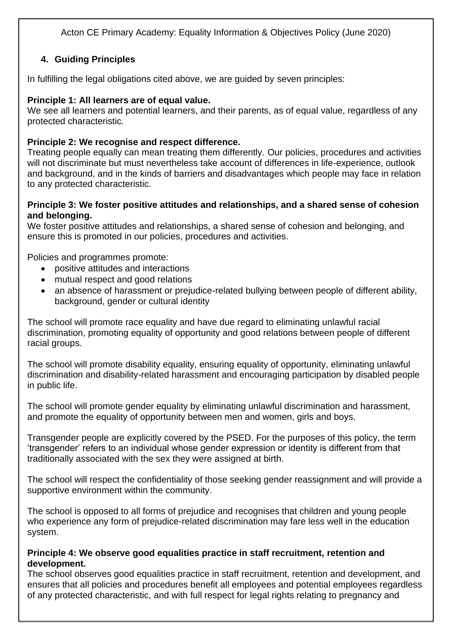# **4. Guiding Principles**

In fulfilling the legal obligations cited above, we are guided by seven principles:

# **Principle 1: All learners are of equal value.**

We see all learners and potential learners, and their parents, as of equal value, regardless of any protected characteristic*.*

# **Principle 2: We recognise and respect difference.**

Treating people equally can mean treating them differently. Our policies, procedures and activities will not discriminate but must nevertheless take account of differences in life-experience, outlook and background, and in the kinds of barriers and disadvantages which people may face in relation to any protected characteristic.

#### **Principle 3: We foster positive attitudes and relationships, and a shared sense of cohesion and belonging.**

We foster positive attitudes and relationships, a shared sense of cohesion and belonging, and ensure this is promoted in our policies, procedures and activities.

Policies and programmes promote:

- positive attitudes and interactions
- mutual respect and good relations
- an absence of harassment or prejudice-related bullying between people of different ability, background, gender or cultural identity

The school will promote race equality and have due regard to eliminating unlawful racial discrimination, promoting equality of opportunity and good relations between people of different racial groups.

The school will promote disability equality, ensuring equality of opportunity, eliminating unlawful discrimination and disability-related harassment and encouraging participation by disabled people in public life.

The school will promote gender equality by eliminating unlawful discrimination and harassment, and promote the equality of opportunity between men and women, girls and boys.

Transgender people are explicitly covered by the PSED. For the purposes of this policy, the term 'transgender' refers to an individual whose gender expression or identity is different from that traditionally associated with the sex they were assigned at birth.

The school will respect the confidentiality of those seeking gender reassignment and will provide a supportive environment within the community.

The school is opposed to all forms of prejudice and recognises that children and young people who experience any form of prejudice-related discrimination may fare less well in the education system.

#### **Principle 4: We observe good equalities practice in staff recruitment, retention and development.**

The school observes good equalities practice in staff recruitment, retention and development, and ensures that all policies and procedures benefit all employees and potential employees regardless of any protected characteristic, and with full respect for legal rights relating to pregnancy and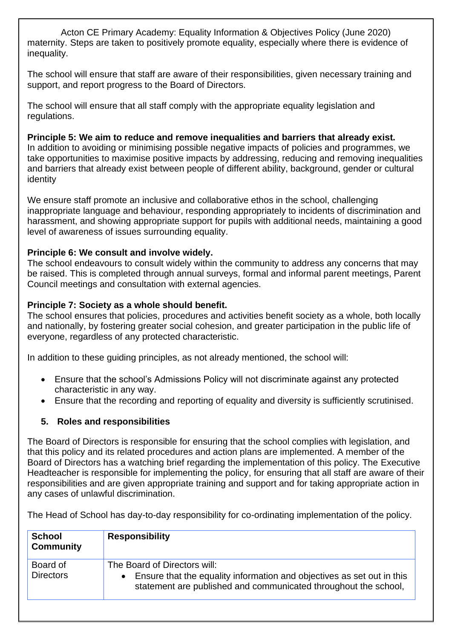Acton CE Primary Academy: Equality Information & Objectives Policy (June 2020) maternity. Steps are taken to positively promote equality, especially where there is evidence of inequality.

The school will ensure that staff are aware of their responsibilities, given necessary training and support, and report progress to the Board of Directors.

The school will ensure that all staff comply with the appropriate equality legislation and regulations.

#### **Principle 5: We aim to reduce and remove inequalities and barriers that already exist.**

In addition to avoiding or minimising possible negative impacts of policies and programmes, we take opportunities to maximise positive impacts by addressing, reducing and removing inequalities and barriers that already exist between people of different ability, background, gender or cultural identity

We ensure staff promote an inclusive and collaborative ethos in the school, challenging inappropriate language and behaviour, responding appropriately to incidents of discrimination and harassment, and showing appropriate support for pupils with additional needs, maintaining a good level of awareness of issues surrounding equality.

#### **Principle 6: We consult and involve widely.**

The school endeavours to consult widely within the community to address any concerns that may be raised. This is completed through annual surveys, formal and informal parent meetings, Parent Council meetings and consultation with external agencies.

#### **Principle 7: Society as a whole should benefit.**

The school ensures that policies, procedures and activities benefit society as a whole, both locally and nationally, by fostering greater social cohesion, and greater participation in the public life of everyone, regardless of any protected characteristic.

In addition to these guiding principles, as not already mentioned, the school will:

- Ensure that the school's Admissions Policy will not discriminate against any protected characteristic in any way.
- Ensure that the recording and reporting of equality and diversity is sufficiently scrutinised.

#### **5. Roles and responsibilities**

The Board of Directors is responsible for ensuring that the school complies with legislation, and that this policy and its related procedures and action plans are implemented. A member of the Board of Directors has a watching brief regarding the implementation of this policy. The Executive Headteacher is responsible for implementing the policy, for ensuring that all staff are aware of their responsibilities and are given appropriate training and support and for taking appropriate action in any cases of unlawful discrimination.

The Head of School has day-to-day responsibility for co-ordinating implementation of the policy.

| <b>School</b><br><b>Community</b> | <b>Responsibility</b>                                                                                                                                                                  |
|-----------------------------------|----------------------------------------------------------------------------------------------------------------------------------------------------------------------------------------|
| Board of<br><b>Directors</b>      | The Board of Directors will:<br>Ensure that the equality information and objectives as set out in this<br>$\bullet$<br>statement are published and communicated throughout the school, |
|                                   |                                                                                                                                                                                        |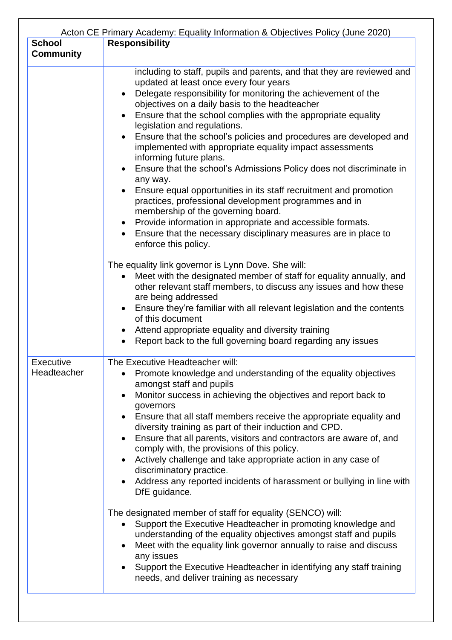| <b>School</b><br><b>Community</b> | Acton CE Primary Academy: Equality Information & Objectives Policy (June 2020)<br><b>Responsibility</b>                                                                                                                                                                                                                                                                                                                                                                                                                                                                                                                                                                                                                                                                                                                                                                                                                                                                                                                                                                                                                                                                                                                                                                                                                                                                                               |
|-----------------------------------|-------------------------------------------------------------------------------------------------------------------------------------------------------------------------------------------------------------------------------------------------------------------------------------------------------------------------------------------------------------------------------------------------------------------------------------------------------------------------------------------------------------------------------------------------------------------------------------------------------------------------------------------------------------------------------------------------------------------------------------------------------------------------------------------------------------------------------------------------------------------------------------------------------------------------------------------------------------------------------------------------------------------------------------------------------------------------------------------------------------------------------------------------------------------------------------------------------------------------------------------------------------------------------------------------------------------------------------------------------------------------------------------------------|
|                                   | including to staff, pupils and parents, and that they are reviewed and<br>updated at least once every four years<br>Delegate responsibility for monitoring the achievement of the<br>$\bullet$<br>objectives on a daily basis to the headteacher<br>Ensure that the school complies with the appropriate equality<br>$\bullet$<br>legislation and regulations.<br>Ensure that the school's policies and procedures are developed and<br>implemented with appropriate equality impact assessments<br>informing future plans.<br>Ensure that the school's Admissions Policy does not discriminate in<br>any way.<br>Ensure equal opportunities in its staff recruitment and promotion<br>practices, professional development programmes and in<br>membership of the governing board.<br>Provide information in appropriate and accessible formats.<br>Ensure that the necessary disciplinary measures are in place to<br>enforce this policy.<br>The equality link governor is Lynn Dove. She will:<br>Meet with the designated member of staff for equality annually, and<br>$\bullet$<br>other relevant staff members, to discuss any issues and how these<br>are being addressed<br>Ensure they're familiar with all relevant legislation and the contents<br>of this document<br>Attend appropriate equality and diversity training<br>Report back to the full governing board regarding any issues |
| <b>Executive</b><br>Headteacher   | The Executive Headteacher will:<br>Promote knowledge and understanding of the equality objectives<br>amongst staff and pupils<br>Monitor success in achieving the objectives and report back to<br>governors<br>Ensure that all staff members receive the appropriate equality and<br>$\bullet$<br>diversity training as part of their induction and CPD.<br>Ensure that all parents, visitors and contractors are aware of, and<br>$\bullet$<br>comply with, the provisions of this policy.<br>Actively challenge and take appropriate action in any case of<br>discriminatory practice.<br>Address any reported incidents of harassment or bullying in line with<br>DfE guidance.<br>The designated member of staff for equality (SENCO) will:<br>Support the Executive Headteacher in promoting knowledge and<br>understanding of the equality objectives amongst staff and pupils<br>Meet with the equality link governor annually to raise and discuss<br>any issues<br>Support the Executive Headteacher in identifying any staff training<br>needs, and deliver training as necessary                                                                                                                                                                                                                                                                                                          |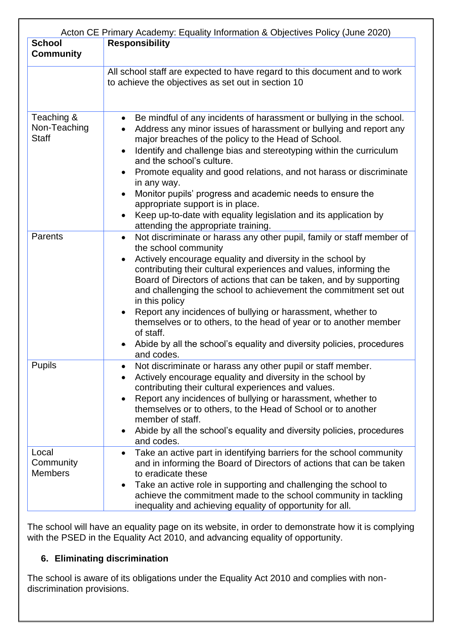| Acton CE Primary Academy: Equality Information & Objectives Policy (June 2020) |                                                                                                                                                                                                                                                                                                                                                                                                                                                                                                                                                                                                                                                   |  |
|--------------------------------------------------------------------------------|---------------------------------------------------------------------------------------------------------------------------------------------------------------------------------------------------------------------------------------------------------------------------------------------------------------------------------------------------------------------------------------------------------------------------------------------------------------------------------------------------------------------------------------------------------------------------------------------------------------------------------------------------|--|
| <b>School</b><br><b>Community</b>                                              | <b>Responsibility</b>                                                                                                                                                                                                                                                                                                                                                                                                                                                                                                                                                                                                                             |  |
|                                                                                | All school staff are expected to have regard to this document and to work<br>to achieve the objectives as set out in section 10                                                                                                                                                                                                                                                                                                                                                                                                                                                                                                                   |  |
| Teaching &<br>Non-Teaching<br><b>Staff</b>                                     | Be mindful of any incidents of harassment or bullying in the school.<br>Address any minor issues of harassment or bullying and report any<br>major breaches of the policy to the Head of School.<br>Identify and challenge bias and stereotyping within the curriculum<br>and the school's culture.<br>Promote equality and good relations, and not harass or discriminate<br>in any way.<br>Monitor pupils' progress and academic needs to ensure the<br>appropriate support is in place.<br>Keep up-to-date with equality legislation and its application by<br>attending the appropriate training.                                             |  |
| Parents                                                                        | Not discriminate or harass any other pupil, family or staff member of<br>$\bullet$<br>the school community<br>Actively encourage equality and diversity in the school by<br>contributing their cultural experiences and values, informing the<br>Board of Directors of actions that can be taken, and by supporting<br>and challenging the school to achievement the commitment set out<br>in this policy<br>Report any incidences of bullying or harassment, whether to<br>themselves or to others, to the head of year or to another member<br>of staff.<br>Abide by all the school's equality and diversity policies, procedures<br>and codes. |  |
| <b>Pupils</b>                                                                  | Not discriminate or harass any other pupil or staff member.<br>Actively encourage equality and diversity in the school by<br>contributing their cultural experiences and values.<br>Report any incidences of bullying or harassment, whether to<br>themselves or to others, to the Head of School or to another<br>member of staff.<br>Abide by all the school's equality and diversity policies, procedures<br>and codes.                                                                                                                                                                                                                        |  |
| Local<br>Community<br><b>Members</b>                                           | Take an active part in identifying barriers for the school community<br>$\bullet$<br>and in informing the Board of Directors of actions that can be taken<br>to eradicate these<br>Take an active role in supporting and challenging the school to<br>achieve the commitment made to the school community in tackling<br>inequality and achieving equality of opportunity for all.                                                                                                                                                                                                                                                                |  |

The school will have an equality page on its website, in order to demonstrate how it is complying with the PSED in the Equality Act 2010, and advancing equality of opportunity.

# **6. Eliminating discrimination**

The school is aware of its obligations under the Equality Act 2010 and complies with nondiscrimination provisions.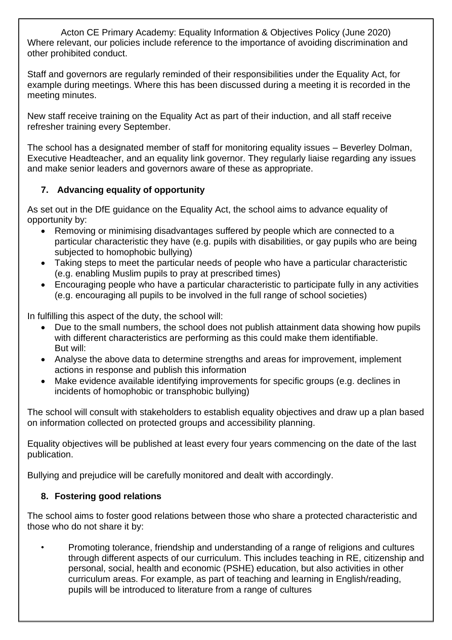Acton CE Primary Academy: Equality Information & Objectives Policy (June 2020) Where relevant, our policies include reference to the importance of avoiding discrimination and other prohibited conduct.

Staff and governors are regularly reminded of their responsibilities under the Equality Act, for example during meetings. Where this has been discussed during a meeting it is recorded in the meeting minutes.

New staff receive training on the Equality Act as part of their induction, and all staff receive refresher training every September.

The school has a designated member of staff for monitoring equality issues – Beverley Dolman, Executive Headteacher, and an equality link governor. They regularly liaise regarding any issues and make senior leaders and governors aware of these as appropriate.

# **7. Advancing equality of opportunity**

As set out in the DfE guidance on the Equality Act, the school aims to advance equality of opportunity by:

- Removing or minimising disadvantages suffered by people which are connected to a particular characteristic they have (e.g. pupils with disabilities, or gay pupils who are being subjected to homophobic bullying)
- Taking steps to meet the particular needs of people who have a particular characteristic (e.g. enabling Muslim pupils to pray at prescribed times)
- Encouraging people who have a particular characteristic to participate fully in any activities (e.g. encouraging all pupils to be involved in the full range of school societies)

In fulfilling this aspect of the duty, the school will:

- Due to the small numbers, the school does not publish attainment data showing how pupils with different characteristics are performing as this could make them identifiable. But will:
- Analyse the above data to determine strengths and areas for improvement, implement actions in response and publish this information
- Make evidence available identifying improvements for specific groups (e.g. declines in incidents of homophobic or transphobic bullying)

The school will consult with stakeholders to establish equality objectives and draw up a plan based on information collected on protected groups and accessibility planning.

Equality objectives will be published at least every four years commencing on the date of the last publication.

Bullying and prejudice will be carefully monitored and dealt with accordingly.

#### **8. Fostering good relations**

The school aims to foster good relations between those who share a protected characteristic and those who do not share it by:

• Promoting tolerance, friendship and understanding of a range of religions and cultures through different aspects of our curriculum. This includes teaching in RE, citizenship and personal, social, health and economic (PSHE) education, but also activities in other curriculum areas. For example, as part of teaching and learning in English/reading, pupils will be introduced to literature from a range of cultures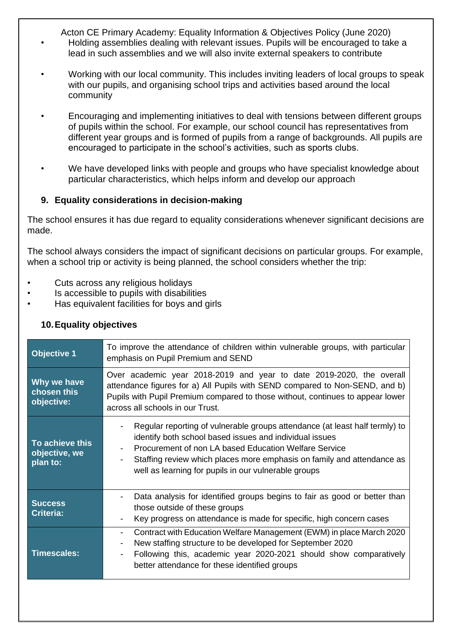Acton CE Primary Academy: Equality Information & Objectives Policy (June 2020) • Holding assemblies dealing with relevant issues. Pupils will be encouraged to take a

- lead in such assemblies and we will also invite external speakers to contribute
- Working with our local community. This includes inviting leaders of local groups to speak with our pupils, and organising school trips and activities based around the local community
- Encouraging and implementing initiatives to deal with tensions between different groups of pupils within the school. For example, our school council has representatives from different year groups and is formed of pupils from a range of backgrounds. All pupils are encouraged to participate in the school's activities, such as sports clubs.
- We have developed links with people and groups who have specialist knowledge about particular characteristics, which helps inform and develop our approach

# **9. Equality considerations in decision-making**

The school ensures it has due regard to equality considerations whenever significant decisions are made.

The school always considers the impact of significant decisions on particular groups. For example, when a school trip or activity is being planned, the school considers whether the trip:

- Cuts across any religious holidays
- Is accessible to pupils with disabilities
- Has equivalent facilities for boys and girls

#### **10.Equality objectives**

| <b>Objective 1</b>                           | To improve the attendance of children within vulnerable groups, with particular<br>emphasis on Pupil Premium and SEND                                                                                                                                                                                                                               |
|----------------------------------------------|-----------------------------------------------------------------------------------------------------------------------------------------------------------------------------------------------------------------------------------------------------------------------------------------------------------------------------------------------------|
| Why we have<br>chosen this<br>objective:     | Over academic year 2018-2019 and year to date 2019-2020, the overall<br>attendance figures for a) All Pupils with SEND compared to Non-SEND, and b)<br>Pupils with Pupil Premium compared to those without, continues to appear lower<br>across all schools in our Trust.                                                                           |
| To achieve this<br>objective, we<br>plan to: | Regular reporting of vulnerable groups attendance (at least half termly) to<br>identify both school based issues and individual issues<br>Procurement of non LA based Education Welfare Service<br>$\blacksquare$<br>Staffing review which places more emphasis on family and attendance as<br>well as learning for pupils in our vulnerable groups |
| <b>Success</b><br><b>Criteria:</b>           | Data analysis for identified groups begins to fair as good or better than<br>$\overline{\phantom{a}}$<br>those outside of these groups<br>Key progress on attendance is made for specific, high concern cases<br>$\overline{\phantom{a}}$                                                                                                           |
| <b>Timescales:</b>                           | Contract with Education Welfare Management (EWM) in place March 2020<br>$\blacksquare$<br>New staffing structure to be developed for September 2020<br>$\blacksquare$<br>Following this, academic year 2020-2021 should show comparatively<br>$\overline{\phantom{a}}$<br>better attendance for these identified groups                             |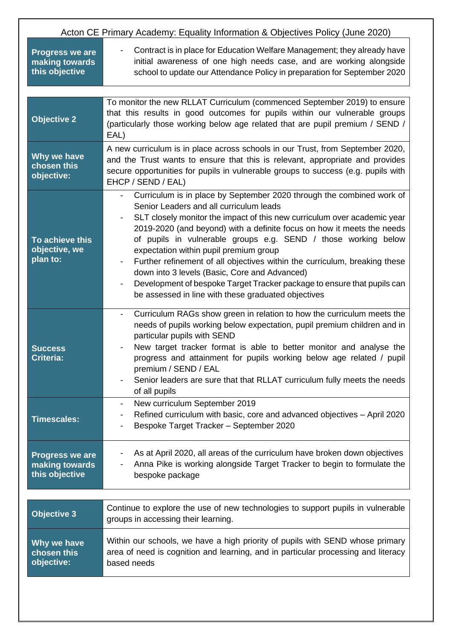| Acton CE Primary Academy: Equality Information & Objectives Policy (June 2020) |                                                                                                                                                                                                                                                                                                                                                                                                                                                                                                                                                                                                                                                                                 |
|--------------------------------------------------------------------------------|---------------------------------------------------------------------------------------------------------------------------------------------------------------------------------------------------------------------------------------------------------------------------------------------------------------------------------------------------------------------------------------------------------------------------------------------------------------------------------------------------------------------------------------------------------------------------------------------------------------------------------------------------------------------------------|
| <b>Progress we are</b><br>making towards<br>this objective                     | Contract is in place for Education Welfare Management; they already have<br>$\overline{\phantom{a}}$<br>initial awareness of one high needs case, and are working alongside<br>school to update our Attendance Policy in preparation for September 2020                                                                                                                                                                                                                                                                                                                                                                                                                         |
|                                                                                |                                                                                                                                                                                                                                                                                                                                                                                                                                                                                                                                                                                                                                                                                 |
| <b>Objective 2</b>                                                             | To monitor the new RLLAT Curriculum (commenced September 2019) to ensure<br>that this results in good outcomes for pupils within our vulnerable groups<br>(particularly those working below age related that are pupil premium / SEND /<br>EAL)                                                                                                                                                                                                                                                                                                                                                                                                                                 |
| Why we have<br>chosen this<br>objective:                                       | A new curriculum is in place across schools in our Trust, from September 2020,<br>and the Trust wants to ensure that this is relevant, appropriate and provides<br>secure opportunities for pupils in vulnerable groups to success (e.g. pupils with<br>EHCP / SEND / EAL)                                                                                                                                                                                                                                                                                                                                                                                                      |
| To achieve this<br>objective, we<br>plan to:                                   | Curriculum is in place by September 2020 through the combined work of<br>Senior Leaders and all curriculum leads<br>SLT closely monitor the impact of this new curriculum over academic year<br>2019-2020 (and beyond) with a definite focus on how it meets the needs<br>of pupils in vulnerable groups e.g. SEND / those working below<br>expectation within pupil premium group<br>Further refinement of all objectives within the curriculum, breaking these<br>down into 3 levels (Basic, Core and Advanced)<br>Development of bespoke Target Tracker package to ensure that pupils can<br>$\overline{\phantom{a}}$<br>be assessed in line with these graduated objectives |
| <b>Success</b><br><b>Criteria:</b>                                             | Curriculum RAGs show green in relation to how the curriculum meets the<br>$\overline{\phantom{a}}$<br>needs of pupils working below expectation, pupil premium children and in<br>particular pupils with SEND<br>New target tracker format is able to better monitor and analyse the<br>progress and attainment for pupils working below age related / pupil<br>premium / SEND / EAL<br>Senior leaders are sure that that RLLAT curriculum fully meets the needs<br>of all pupils                                                                                                                                                                                               |
| <b>Timescales:</b>                                                             | New curriculum September 2019<br>$\overline{\phantom{a}}$<br>Refined curriculum with basic, core and advanced objectives - April 2020<br>Bespoke Target Tracker - September 2020                                                                                                                                                                                                                                                                                                                                                                                                                                                                                                |
| <b>Progress we are</b><br>making towards<br>this objective                     | As at April 2020, all areas of the curriculum have broken down objectives<br>Anna Pike is working alongside Target Tracker to begin to formulate the<br>bespoke package                                                                                                                                                                                                                                                                                                                                                                                                                                                                                                         |
| <b>Objective 3</b>                                                             | Continue to explore the use of new technologies to support pupils in vulnerable<br>groups in accessing their learning.                                                                                                                                                                                                                                                                                                                                                                                                                                                                                                                                                          |
| Why we have<br>chosen this<br>objective:                                       | Within our schools, we have a high priority of pupils with SEND whose primary<br>area of need is cognition and learning, and in particular processing and literacy<br>based needs                                                                                                                                                                                                                                                                                                                                                                                                                                                                                               |
|                                                                                |                                                                                                                                                                                                                                                                                                                                                                                                                                                                                                                                                                                                                                                                                 |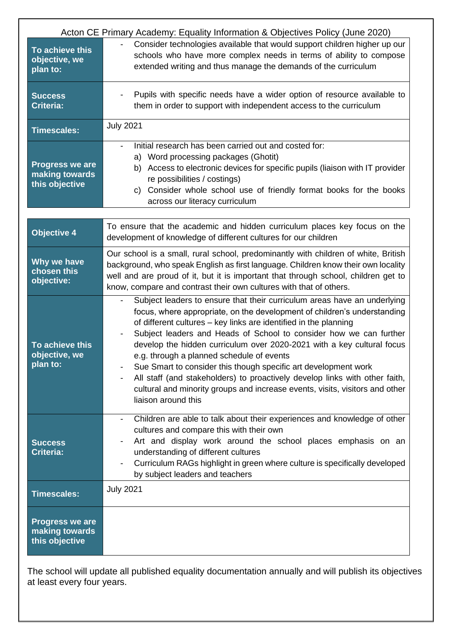| Acton CE Primary Academy: Equality Information & Objectives Policy (June 2020) |                                                                                                                                                                                                                                                                                                                                                                                                                                                                                                                                                                                                                                                                                                                |  |
|--------------------------------------------------------------------------------|----------------------------------------------------------------------------------------------------------------------------------------------------------------------------------------------------------------------------------------------------------------------------------------------------------------------------------------------------------------------------------------------------------------------------------------------------------------------------------------------------------------------------------------------------------------------------------------------------------------------------------------------------------------------------------------------------------------|--|
| To achieve this<br>objective, we<br>plan to:                                   | Consider technologies available that would support children higher up our<br>schools who have more complex needs in terms of ability to compose<br>extended writing and thus manage the demands of the curriculum                                                                                                                                                                                                                                                                                                                                                                                                                                                                                              |  |
| <b>Success</b><br><b>Criteria:</b>                                             | Pupils with specific needs have a wider option of resource available to<br>them in order to support with independent access to the curriculum                                                                                                                                                                                                                                                                                                                                                                                                                                                                                                                                                                  |  |
| <b>Timescales:</b>                                                             | <b>July 2021</b>                                                                                                                                                                                                                                                                                                                                                                                                                                                                                                                                                                                                                                                                                               |  |
| <b>Progress we are</b><br>making towards<br>this objective                     | Initial research has been carried out and costed for:<br>$\overline{\phantom{a}}$<br>a) Word processing packages (Ghotit)<br>b) Access to electronic devices for specific pupils (liaison with IT provider<br>re possibilities / costings)<br>c) Consider whole school use of friendly format books for the books<br>across our literacy curriculum                                                                                                                                                                                                                                                                                                                                                            |  |
| <b>Objective 4</b>                                                             | To ensure that the academic and hidden curriculum places key focus on the<br>development of knowledge of different cultures for our children                                                                                                                                                                                                                                                                                                                                                                                                                                                                                                                                                                   |  |
| Why we have<br>chosen this<br>objective:                                       | Our school is a small, rural school, predominantly with children of white, British<br>background, who speak English as first language. Children know their own locality<br>well and are proud of it, but it is important that through school, children get to<br>know, compare and contrast their own cultures with that of others.                                                                                                                                                                                                                                                                                                                                                                            |  |
| To achieve this<br>objective, we<br>plan to:                                   | Subject leaders to ensure that their curriculum areas have an underlying<br>focus, where appropriate, on the development of children's understanding<br>of different cultures - key links are identified in the planning<br>Subject leaders and Heads of School to consider how we can further<br>$\qquad \qquad \blacksquare$<br>develop the hidden curriculum over 2020-2021 with a key cultural focus<br>e.g. through a planned schedule of events<br>Sue Smart to consider this though specific art development work<br>All staff (and stakeholders) to proactively develop links with other faith,<br>cultural and minority groups and increase events, visits, visitors and other<br>liaison around this |  |
| <b>Success</b><br><b>Criteria:</b>                                             | Children are able to talk about their experiences and knowledge of other<br>$\overline{\phantom{a}}$<br>cultures and compare this with their own<br>Art and display work around the school places emphasis on an<br>understanding of different cultures<br>Curriculum RAGs highlight in green where culture is specifically developed<br>by subject leaders and teachers                                                                                                                                                                                                                                                                                                                                       |  |
| <b>Timescales:</b>                                                             | <b>July 2021</b>                                                                                                                                                                                                                                                                                                                                                                                                                                                                                                                                                                                                                                                                                               |  |
| <b>Progress we are</b><br>making towards<br>this objective                     |                                                                                                                                                                                                                                                                                                                                                                                                                                                                                                                                                                                                                                                                                                                |  |

The school will update all published equality documentation annually and will publish its objectives at least every four years.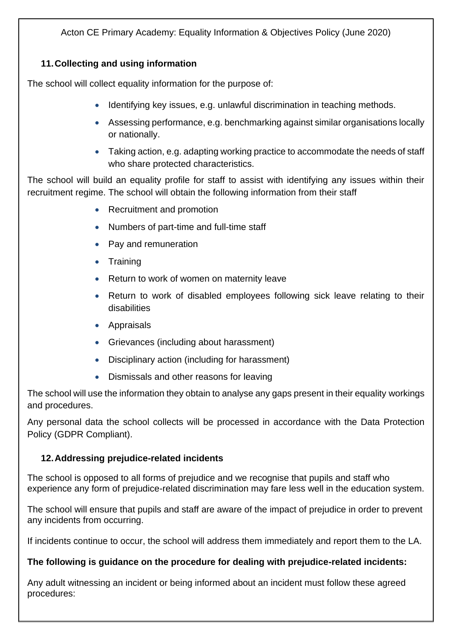# **11.Collecting and using information**

The school will collect equality information for the purpose of:

- Identifying key issues, e.g. unlawful discrimination in teaching methods.
- Assessing performance, e.g. benchmarking against similar organisations locally or nationally.
- Taking action, e.g. adapting working practice to accommodate the needs of staff who share protected characteristics.

The school will build an equality profile for staff to assist with identifying any issues within their recruitment regime. The school will obtain the following information from their staff

- Recruitment and promotion
- Numbers of part-time and full-time staff
- Pay and remuneration
- Training
- Return to work of women on maternity leave
- Return to work of disabled employees following sick leave relating to their disabilities
- Appraisals
- Grievances (including about harassment)
- Disciplinary action (including for harassment)
- Dismissals and other reasons for leaving

The school will use the information they obtain to analyse any gaps present in their equality workings and procedures.

Any personal data the school collects will be processed in accordance with the Data Protection Policy (GDPR Compliant).

# **12.Addressing prejudice-related incidents**

The school is opposed to all forms of prejudice and we recognise that pupils and staff who experience any form of prejudice-related discrimination may fare less well in the education system.

The school will ensure that pupils and staff are aware of the impact of prejudice in order to prevent any incidents from occurring.

If incidents continue to occur, the school will address them immediately and report them to the LA.

# **The following is guidance on the procedure for dealing with prejudice-related incidents:**

Any adult witnessing an incident or being informed about an incident must follow these agreed procedures: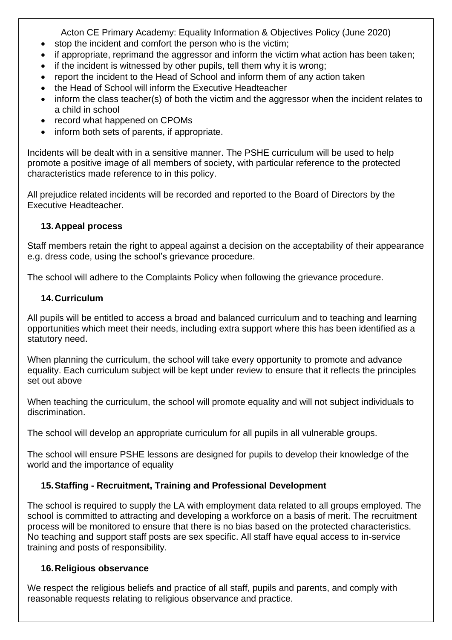- stop the incident and comfort the person who is the victim;
- if appropriate, reprimand the aggressor and inform the victim what action has been taken:
- if the incident is witnessed by other pupils, tell them why it is wrong;
- report the incident to the Head of School and inform them of any action taken
- the Head of School will inform the Executive Headteacher
- inform the class teacher(s) of both the victim and the aggressor when the incident relates to a child in school
- record what happened on CPOMs
- inform both sets of parents, if appropriate.

Incidents will be dealt with in a sensitive manner. The PSHE curriculum will be used to help promote a positive image of all members of society, with particular reference to the protected characteristics made reference to in this policy.

All prejudice related incidents will be recorded and reported to the Board of Directors by the Executive Headteacher.

# **13.Appeal process**

Staff members retain the right to appeal against a decision on the acceptability of their appearance e.g. dress code, using the school's grievance procedure.

The school will adhere to the Complaints Policy when following the grievance procedure.

# **14.Curriculum**

All pupils will be entitled to access a broad and balanced curriculum and to teaching and learning opportunities which meet their needs, including extra support where this has been identified as a statutory need.

When planning the curriculum, the school will take every opportunity to promote and advance equality. Each curriculum subject will be kept under review to ensure that it reflects the principles set out above

When teaching the curriculum, the school will promote equality and will not subject individuals to discrimination.

The school will develop an appropriate curriculum for all pupils in all vulnerable groups.

The school will ensure PSHE lessons are designed for pupils to develop their knowledge of the world and the importance of equality

# **15.Staffing - Recruitment, Training and Professional Development**

The school is required to supply the LA with employment data related to all groups employed. The school is committed to attracting and developing a workforce on a basis of merit. The recruitment process will be monitored to ensure that there is no bias based on the protected characteristics. No teaching and support staff posts are sex specific. All staff have equal access to in-service training and posts of responsibility.

#### **16.Religious observance**

We respect the religious beliefs and practice of all staff, pupils and parents, and comply with reasonable requests relating to religious observance and practice.